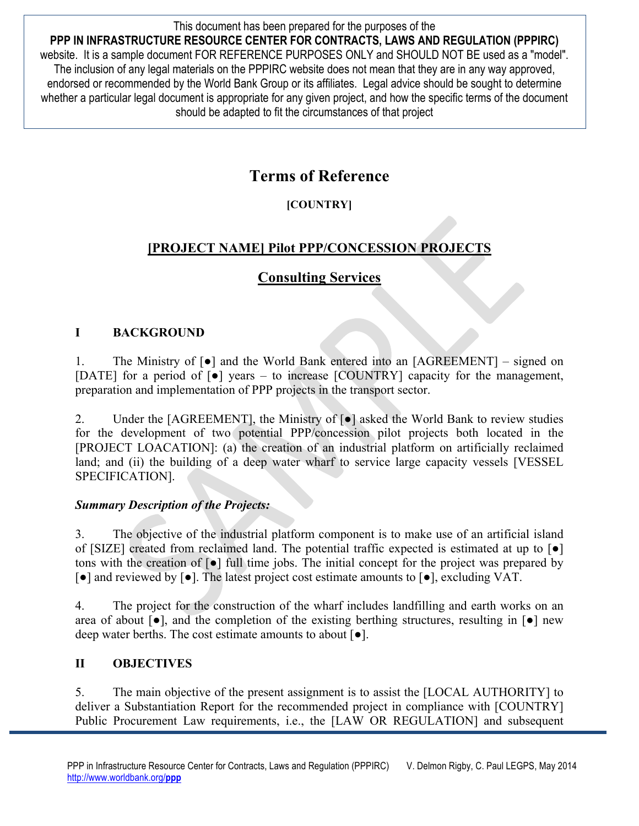This document has been prepared for the purposes of the **PPP IN INFRASTRUCTURE RESOURCE CENTER FOR CONTRACTS, LAWS AND REGULATION (PPPIRC)**  website. It is a sample document FOR REFERENCE PURPOSES ONLY and SHOULD NOT BE used as a "model". The inclusion of any legal materials on the PPPIRC website does not mean that they are in any way approved, endorsed or recommended by the World Bank Group or its affiliates. Legal advice should be sought to determine whether a particular legal document is appropriate for any given project, and how the specific terms of the document should be adapted to fit the circumstances of that project

# **Terms of Reference**

### **[COUNTRY]**

# **[PROJECT NAME] Pilot PPP/CONCESSION PROJECTS**

## **Consulting Services**

#### **I BACKGROUND**

1. The Ministry of [●] and the World Bank entered into an [AGREEMENT] – signed on [DATE] for a period of  $\lceil \bullet \rceil$  years – to increase [COUNTRY] capacity for the management, preparation and implementation of PPP projects in the transport sector.

2. Under the [AGREEMENT], the Ministry of  $\lceil \bullet \rceil$  asked the World Bank to review studies for the development of two potential PPP/concession pilot projects both located in the [PROJECT LOACATION]: (a) the creation of an industrial platform on artificially reclaimed land; and (ii) the building of a deep water wharf to service large capacity vessels [VESSEL] SPECIFICATION].

#### *Summary Description of the Projects:*

3. The objective of the industrial platform component is to make use of an artificial island of [SIZE] created from reclaimed land. The potential traffic expected is estimated at up to [●] tons with the creation of [●] full time jobs. The initial concept for the project was prepared by [●] and reviewed by [●]. The latest project cost estimate amounts to [●], excluding VAT.

4. The project for the construction of the wharf includes landfilling and earth works on an area of about  $\lceil \bullet \rceil$ , and the completion of the existing berthing structures, resulting in  $\lceil \bullet \rceil$  new deep water berths. The cost estimate amounts to about [●].

#### **II OBJECTIVES**

5. The main objective of the present assignment is to assist the [LOCAL AUTHORITY] to deliver a Substantiation Report for the recommended project in compliance with [COUNTRY] Public Procurement Law requirements, i.e., the [LAW OR REGULATION] and subsequent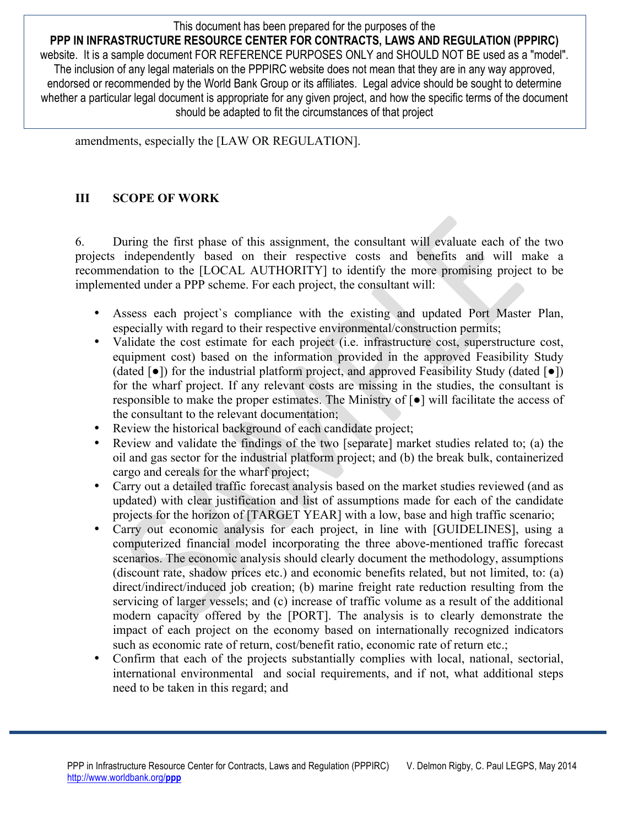This document has been prepared for the purposes of the **PPP IN INFRASTRUCTURE RESOURCE CENTER FOR CONTRACTS, LAWS AND REGULATION (PPPIRC)**  website. It is a sample document FOR REFERENCE PURPOSES ONLY and SHOULD NOT BE used as a "model". The inclusion of any legal materials on the PPPIRC website does not mean that they are in any way approved, endorsed or recommended by the World Bank Group or its affiliates. Legal advice should be sought to determine whether a particular legal document is appropriate for any given project, and how the specific terms of the document should be adapted to fit the circumstances of that project

amendments, especially the [LAW OR REGULATION].

#### **III SCOPE OF WORK**

6. During the first phase of this assignment, the consultant will evaluate each of the two projects independently based on their respective costs and benefits and will make a recommendation to the [LOCAL AUTHORITY] to identify the more promising project to be implemented under a PPP scheme. For each project, the consultant will:

- Assess each project's compliance with the existing and updated Port Master Plan, especially with regard to their respective environmental/construction permits;
- Validate the cost estimate for each project (i.e. infrastructure cost, superstructure cost, equipment cost) based on the information provided in the approved Feasibility Study (dated  $\lceil \bullet \rceil$ ) for the industrial platform project, and approved Feasibility Study (dated  $\lceil \bullet \rceil$ ) for the wharf project. If any relevant costs are missing in the studies, the consultant is responsible to make the proper estimates. The Ministry of [●] will facilitate the access of the consultant to the relevant documentation;
- Review the historical background of each candidate project;
- Review and validate the findings of the two [separate] market studies related to; (a) the oil and gas sector for the industrial platform project; and (b) the break bulk, containerized cargo and cereals for the wharf project;
- Carry out a detailed traffic forecast analysis based on the market studies reviewed (and as updated) with clear justification and list of assumptions made for each of the candidate projects for the horizon of [TARGET YEAR] with a low, base and high traffic scenario;
- Carry out economic analysis for each project, in line with [GUIDELINES], using a computerized financial model incorporating the three above-mentioned traffic forecast scenarios. The economic analysis should clearly document the methodology, assumptions (discount rate, shadow prices etc.) and economic benefits related, but not limited, to: (a) direct/indirect/induced job creation; (b) marine freight rate reduction resulting from the servicing of larger vessels; and (c) increase of traffic volume as a result of the additional modern capacity offered by the [PORT]. The analysis is to clearly demonstrate the impact of each project on the economy based on internationally recognized indicators such as economic rate of return, cost/benefit ratio, economic rate of return etc.;
- Confirm that each of the projects substantially complies with local, national, sectorial, international environmental and social requirements, and if not, what additional steps need to be taken in this regard; and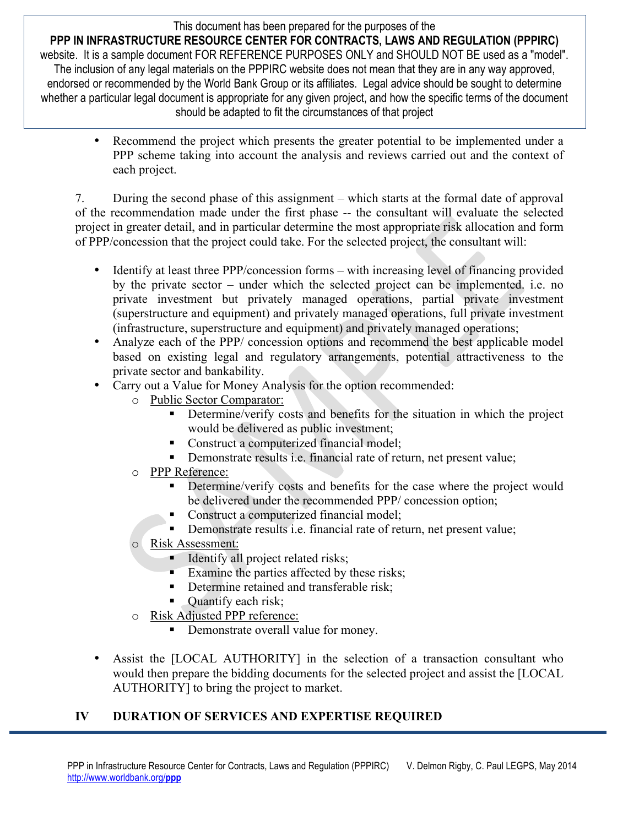This document has been prepared for the purposes of the

**PPP IN INFRASTRUCTURE RESOURCE CENTER FOR CONTRACTS, LAWS AND REGULATION (PPPIRC)**  website. It is a sample document FOR REFERENCE PURPOSES ONLY and SHOULD NOT BE used as a "model". The inclusion of any legal materials on the PPPIRC website does not mean that they are in any way approved, endorsed or recommended by the World Bank Group or its affiliates. Legal advice should be sought to determine whether a particular legal document is appropriate for any given project, and how the specific terms of the document should be adapted to fit the circumstances of that project

> • Recommend the project which presents the greater potential to be implemented under a PPP scheme taking into account the analysis and reviews carried out and the context of each project.

7. During the second phase of this assignment – which starts at the formal date of approval of the recommendation made under the first phase -- the consultant will evaluate the selected project in greater detail, and in particular determine the most appropriate risk allocation and form of PPP/concession that the project could take. For the selected project, the consultant will:

- Identify at least three PPP/concession forms with increasing level of financing provided by the private sector – under which the selected project can be implemented. i.e. no private investment but privately managed operations, partial private investment (superstructure and equipment) and privately managed operations, full private investment (infrastructure, superstructure and equipment) and privately managed operations;
- Analyze each of the PPP/ concession options and recommend the best applicable model based on existing legal and regulatory arrangements, potential attractiveness to the private sector and bankability.
- Carry out a Value for Money Analysis for the option recommended:
	- o Public Sector Comparator:
		- Determine/verify costs and benefits for the situation in which the project would be delivered as public investment;
		- Construct a computerized financial model:
		- Demonstrate results i.e. financial rate of return, net present value;
	- o PPP Reference:
		- Determine/verify costs and benefits for the case where the project would be delivered under the recommended PPP/ concession option;
		- Construct a computerized financial model;
		- Demonstrate results i.e. financial rate of return, net present value;
	- o Risk Assessment:
		- Identify all project related risks;
		- **Examine the parties affected by these risks;**
		- Determine retained and transferable risk;
		- Quantify each risk;
	- o Risk Adjusted PPP reference:
		- Demonstrate overall value for money.
- Assist the [LOCAL AUTHORITY] in the selection of a transaction consultant who would then prepare the bidding documents for the selected project and assist the [LOCAL AUTHORITY] to bring the project to market.

### **IV DURATION OF SERVICES AND EXPERTISE REQUIRED**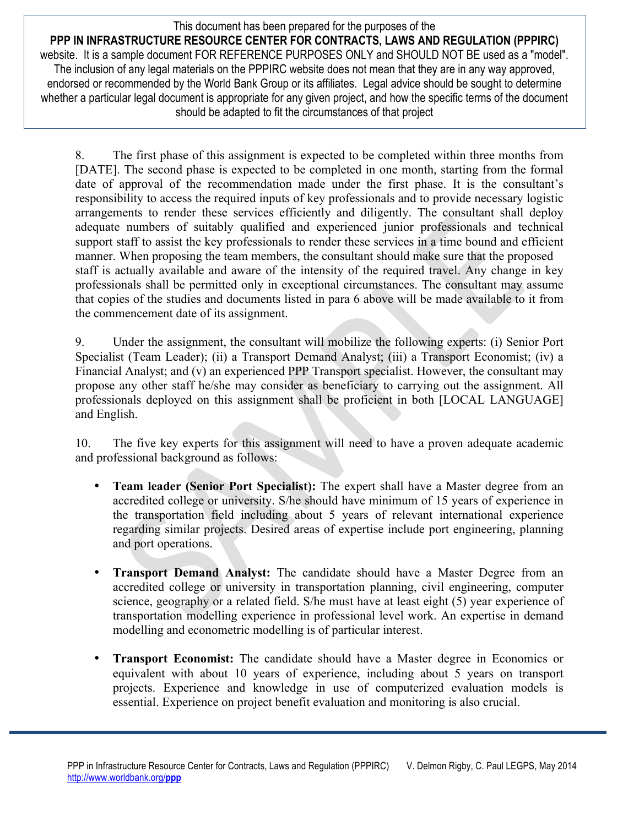This document has been prepared for the purposes of the **PPP IN INFRASTRUCTURE RESOURCE CENTER FOR CONTRACTS, LAWS AND REGULATION (PPPIRC)**  website. It is a sample document FOR REFERENCE PURPOSES ONLY and SHOULD NOT BE used as a "model". The inclusion of any legal materials on the PPPIRC website does not mean that they are in any way approved, endorsed or recommended by the World Bank Group or its affiliates. Legal advice should be sought to determine whether a particular legal document is appropriate for any given project, and how the specific terms of the document should be adapted to fit the circumstances of that project

8. The first phase of this assignment is expected to be completed within three months from [DATE]. The second phase is expected to be completed in one month, starting from the formal date of approval of the recommendation made under the first phase. It is the consultant's responsibility to access the required inputs of key professionals and to provide necessary logistic arrangements to render these services efficiently and diligently. The consultant shall deploy adequate numbers of suitably qualified and experienced junior professionals and technical support staff to assist the key professionals to render these services in a time bound and efficient manner. When proposing the team members, the consultant should make sure that the proposed staff is actually available and aware of the intensity of the required travel. Any change in key professionals shall be permitted only in exceptional circumstances. The consultant may assume that copies of the studies and documents listed in para 6 above will be made available to it from the commencement date of its assignment.

9. Under the assignment, the consultant will mobilize the following experts: (i) Senior Port Specialist (Team Leader); (ii) a Transport Demand Analyst; (iii) a Transport Economist; (iv) a Financial Analyst; and (v) an experienced PPP Transport specialist. However, the consultant may propose any other staff he/she may consider as beneficiary to carrying out the assignment. All professionals deployed on this assignment shall be proficient in both [LOCAL LANGUAGE] and English.

10. The five key experts for this assignment will need to have a proven adequate academic and professional background as follows:

- **Team leader (Senior Port Specialist):** The expert shall have a Master degree from an accredited college or university. S/he should have minimum of 15 years of experience in the transportation field including about 5 years of relevant international experience regarding similar projects. Desired areas of expertise include port engineering, planning and port operations.
- **Transport Demand Analyst:** The candidate should have a Master Degree from an accredited college or university in transportation planning, civil engineering, computer science, geography or a related field. S/he must have at least eight (5) year experience of transportation modelling experience in professional level work. An expertise in demand modelling and econometric modelling is of particular interest.
- **Transport Economist:** The candidate should have a Master degree in Economics or equivalent with about 10 years of experience, including about 5 years on transport projects. Experience and knowledge in use of computerized evaluation models is essential. Experience on project benefit evaluation and monitoring is also crucial.